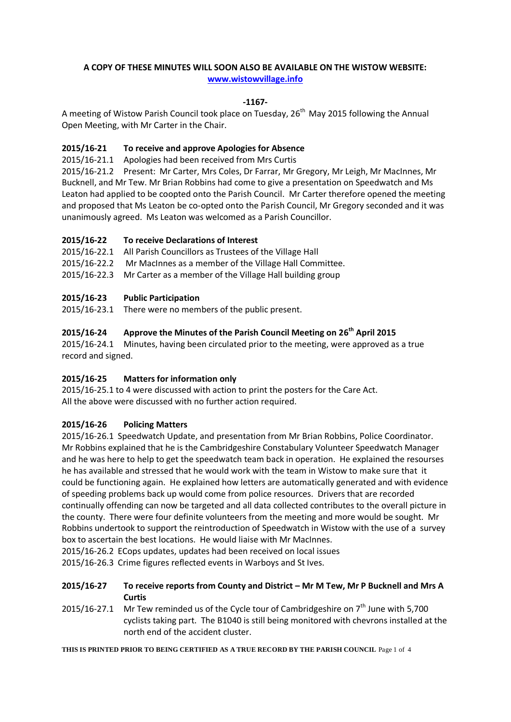#### **A COPY OF THESE MINUTES WILL SOON ALSO BE AVAILABLE ON THE WISTOW WEBSITE: [www.wistowvillage.info](http://www.wistowvillage.info/)**

#### **-1167-**

A meeting of Wistow Parish Council took place on Tuesday, 26<sup>th</sup> May 2015 following the Annual Open Meeting, with Mr Carter in the Chair.

#### **2015/16-21 To receive and approve Apologies for Absence**

2015/16-21.1 Apologies had been received from Mrs Curtis

2015/16-21.2 Present: Mr Carter, Mrs Coles, Dr Farrar, Mr Gregory, Mr Leigh, Mr MacInnes, Mr Bucknell, and Mr Tew. Mr Brian Robbins had come to give a presentation on Speedwatch and Ms Leaton had applied to be coopted onto the Parish Council. Mr Carter therefore opened the meeting and proposed that Ms Leaton be co-opted onto the Parish Council, Mr Gregory seconded and it was unanimously agreed. Ms Leaton was welcomed as a Parish Councillor.

#### **2015/16-22 To receive Declarations of Interest**

2015/16-22.1 All Parish Councillors as Trustees of the Village Hall 2015/16-22.2 Mr MacInnes as a member of the Village Hall Committee. 2015/16-22.3 Mr Carter as a member of the Village Hall building group

#### **2015/16-23 Public Participation**

2015/16-23.1 There were no members of the public present.

# **2015/16-24 Approve the Minutes of the Parish Council Meeting on 26 th April 2015**

2015/16-24.1 Minutes, having been circulated prior to the meeting, were approved as a true record and signed.

#### **2015/16-25 Matters for information only**

2015/16-25.1 to 4 were discussed with action to print the posters for the Care Act. All the above were discussed with no further action required.

#### **2015/16-26 Policing Matters**

2015/16-26.1 Speedwatch Update, and presentation from Mr Brian Robbins, Police Coordinator. Mr Robbins explained that he is the Cambridgeshire Constabulary Volunteer Speedwatch Manager and he was here to help to get the speedwatch team back in operation. He explained the resourses he has available and stressed that he would work with the team in Wistow to make sure that it could be functioning again. He explained how letters are automatically generated and with evidence of speeding problems back up would come from police resources. Drivers that are recorded continually offending can now be targeted and all data collected contributes to the overall picture in the county. There were four definite volunteers from the meeting and more would be sought. Mr Robbins undertook to support the reintroduction of Speedwatch in Wistow with the use of a survey box to ascertain the best locations. He would liaise with Mr MacInnes.

2015/16-26.2 ECops updates, updates had been received on local issues

2015/16-26.3 Crime figures reflected events in Warboys and St Ives.

#### **2015/16-27 To receive reports from County and District – Mr M Tew, Mr P Bucknell and Mrs A Curtis**

2015/16-27.1 Mr Tew reminded us of the Cycle tour of Cambridgeshire on  $7<sup>th</sup>$  June with 5,700 cyclists taking part. The B1040 is still being monitored with chevrons installed at the north end of the accident cluster.

**THIS IS PRINTED PRIOR TO BEING CERTIFIED AS A TRUE RECORD BY THE PARISH COUNCIL** Page 1 of 4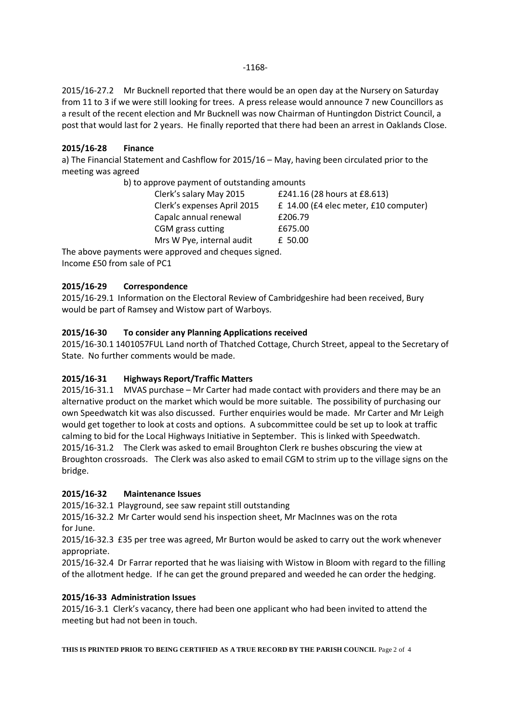-1168-

2015/16-27.2 Mr Bucknell reported that there would be an open day at the Nursery on Saturday from 11 to 3 if we were still looking for trees. A press release would announce 7 new Councillors as a result of the recent election and Mr Bucknell was now Chairman of Huntingdon District Council, a post that would last for 2 years. He finally reported that there had been an arrest in Oaklands Close.

# **2015/16-28 Finance**

a) The Financial Statement and Cashflow for 2015/16 – May, having been circulated prior to the meeting was agreed

| b) to approve payment of outstanding amounts |                                       |
|----------------------------------------------|---------------------------------------|
| Clerk's salary May 2015                      | £241.16 (28 hours at £8.613)          |
| Clerk's expenses April 2015                  | £ 14.00 (£4 elec meter, £10 computer) |
| Capalc annual renewal                        | £206.79                               |
| CGM grass cutting                            | £675.00                               |

Mrs W Pye, internal audit E 50.00 The above payments were approved and cheques signed. Income £50 from sale of PC1

# **2015/16-29 Correspondence**

2015/16-29.1 Information on the Electoral Review of Cambridgeshire had been received, Bury would be part of Ramsey and Wistow part of Warboys.

# **2015/16-30 To consider any Planning Applications received**

2015/16-30.1 1401057FUL Land north of Thatched Cottage, Church Street, appeal to the Secretary of State. No further comments would be made.

#### **2015/16-31 Highways Report/Traffic Matters**

2015/16-31.1 MVAS purchase – Mr Carter had made contact with providers and there may be an alternative product on the market which would be more suitable. The possibility of purchasing our own Speedwatch kit was also discussed. Further enquiries would be made. Mr Carter and Mr Leigh would get together to look at costs and options. A subcommittee could be set up to look at traffic calming to bid for the Local Highways Initiative in September. This is linked with Speedwatch. 2015/16-31.2 The Clerk was asked to email Broughton Clerk re bushes obscuring the view at Broughton crossroads. The Clerk was also asked to email CGM to strim up to the village signs on the bridge.

#### **2015/16-32 Maintenance Issues**

2015/16-32.1 Playground, see saw repaint still outstanding

2015/16-32.2 Mr Carter would send his inspection sheet, Mr MacInnes was on the rota for June.

2015/16-32.3 £35 per tree was agreed, Mr Burton would be asked to carry out the work whenever appropriate.

2015/16-32.4 Dr Farrar reported that he was liaising with Wistow in Bloom with regard to the filling of the allotment hedge. If he can get the ground prepared and weeded he can order the hedging.

#### **2015/16-33 Administration Issues**

2015/16-3.1 Clerk's vacancy, there had been one applicant who had been invited to attend the meeting but had not been in touch.

**THIS IS PRINTED PRIOR TO BEING CERTIFIED AS A TRUE RECORD BY THE PARISH COUNCIL** Page 2 of 4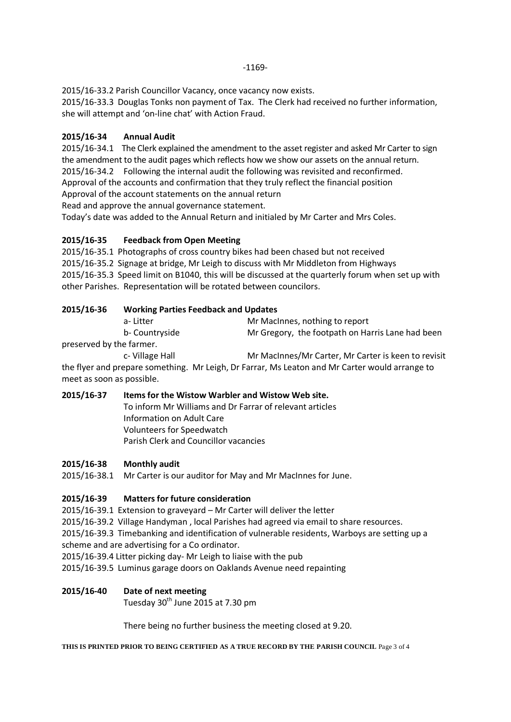2015/16-33.2 Parish Councillor Vacancy, once vacancy now exists.

2015/16-33.3 Douglas Tonks non payment of Tax. The Clerk had received no further information, she will attempt and 'on-line chat' with Action Fraud.

### **2015/16-34 Annual Audit**

2015/16-34.1 The Clerk explained the amendment to the asset register and asked Mr Carter to sign the amendment to the audit pages which reflects how we show our assets on the annual return. 2015/16-34.2 Following the internal audit the following was revisited and reconfirmed. Approval of the accounts and confirmation that they truly reflect the financial position

Approval of the account statements on the annual return

Read and approve the annual governance statement.

Today's date was added to the Annual Return and initialed by Mr Carter and Mrs Coles.

#### **2015/16-35 Feedback from Open Meeting**

2015/16-35.1 Photographs of cross country bikes had been chased but not received 2015/16-35.2 Signage at bridge, Mr Leigh to discuss with Mr Middleton from Highways 2015/16-35.3 Speed limit on B1040, this will be discussed at the quarterly forum when set up with other Parishes. Representation will be rotated between councilors.

#### **2015/16-36 Working Parties Feedback and Updates**

| a-Litter                                                                                                        | Mr MacInnes, nothing to report                   |
|-----------------------------------------------------------------------------------------------------------------|--------------------------------------------------|
| b- Countryside                                                                                                  | Mr Gregory, the footpath on Harris Lane had been |
| the contract of the contract of the contract of the contract of the contract of the contract of the contract of |                                                  |

preserved by the farmer.

c- Village Hall Mr MacInnes/Mr Carter, Mr Carter is keen to revisit the flyer and prepare something. Mr Leigh, Dr Farrar, Ms Leaton and Mr Carter would arrange to

meet as soon as possible.

#### **2015/16-37 Items for the Wistow Warbler and Wistow Web site.**

To inform Mr Williams and Dr Farrar of relevant articles Information on Adult Care Volunteers for Speedwatch Parish Clerk and Councillor vacancies

#### **2015/16-38 Monthly audit**

2015/16-38.1 Mr Carter is our auditor for May and Mr MacInnes for June.

#### **2015/16-39 Matters for future consideration**

2015/16-39.1 Extension to graveyard – Mr Carter will deliver the letter

2015/16-39.2 Village Handyman , local Parishes had agreed via email to share resources.

2015/16-39.3 Timebanking and identification of vulnerable residents, Warboys are setting up a scheme and are advertising for a Co ordinator.

2015/16-39.4 Litter picking day- Mr Leigh to liaise with the pub

2015/16-39.5 Luminus garage doors on Oaklands Avenue need repainting

#### **2015/16-40 Date of next meeting**

Tuesday  $30<sup>th</sup>$  June 2015 at 7.30 pm

There being no further business the meeting closed at 9.20.

**THIS IS PRINTED PRIOR TO BEING CERTIFIED AS A TRUE RECORD BY THE PARISH COUNCIL** Page 3 of 4